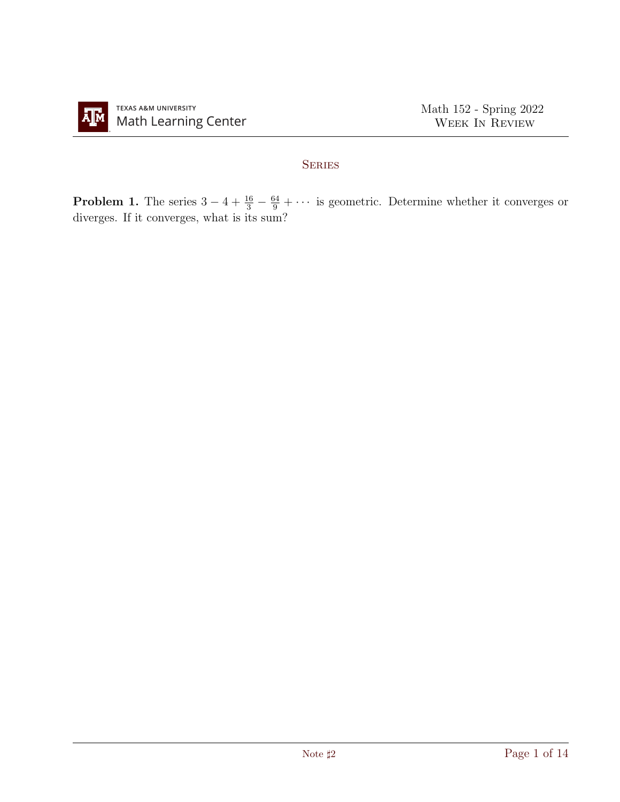

## **SERIES**

**Problem 1.** The series  $3-4+\frac{16}{3}-\frac{64}{9}+\cdots$  is geometric. Determine whether it converges or diverges. If it converges, what is its sum?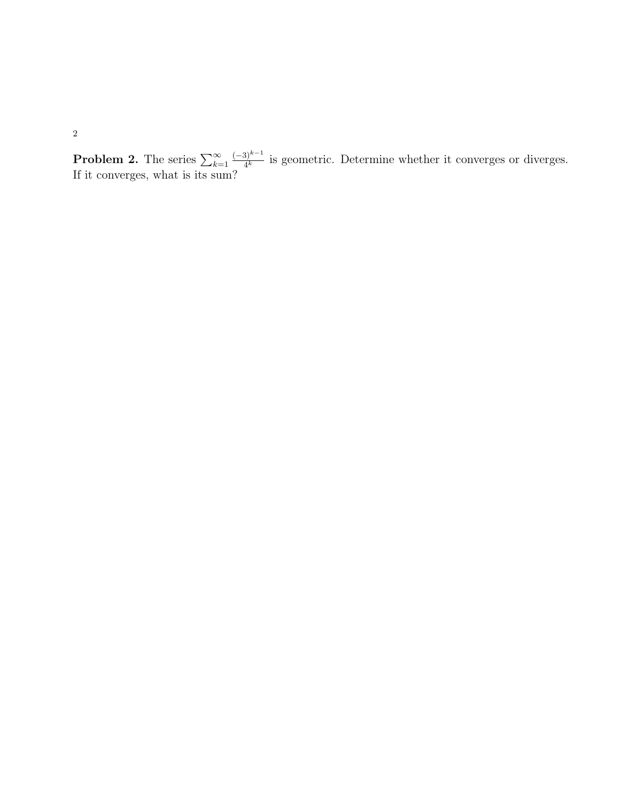**Problem 2.** The series  $\sum_{k=1}^{\infty}$  $(-3)^{k-1}$  $\frac{f_1^{(n-1)}}{4^k}$  is geometric. Determine whether it converges or diverges. If it converges, what is its sum?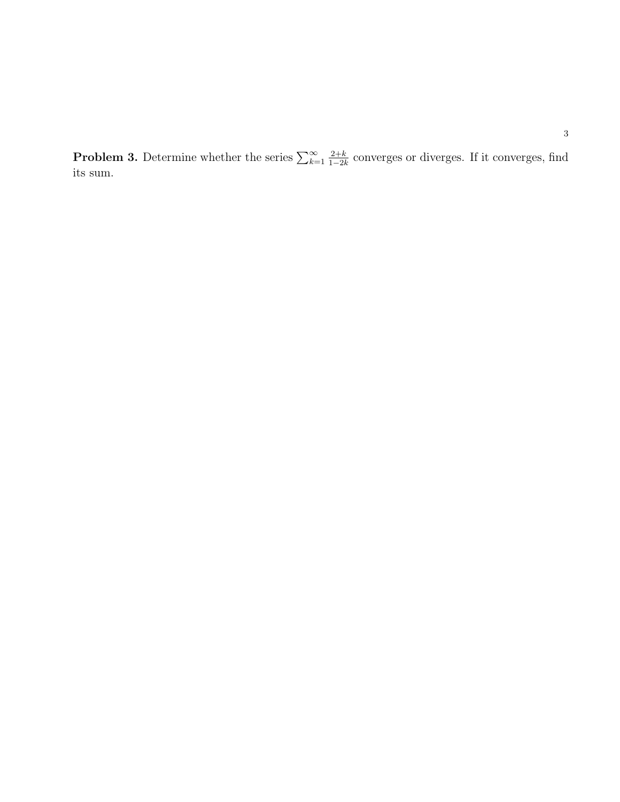**Problem 3.** Determine whether the series  $\sum_{k=1}^{\infty}$  $2+k$  $\frac{2+k}{1-2k}$  converges or diverges. If it converges, find its sum.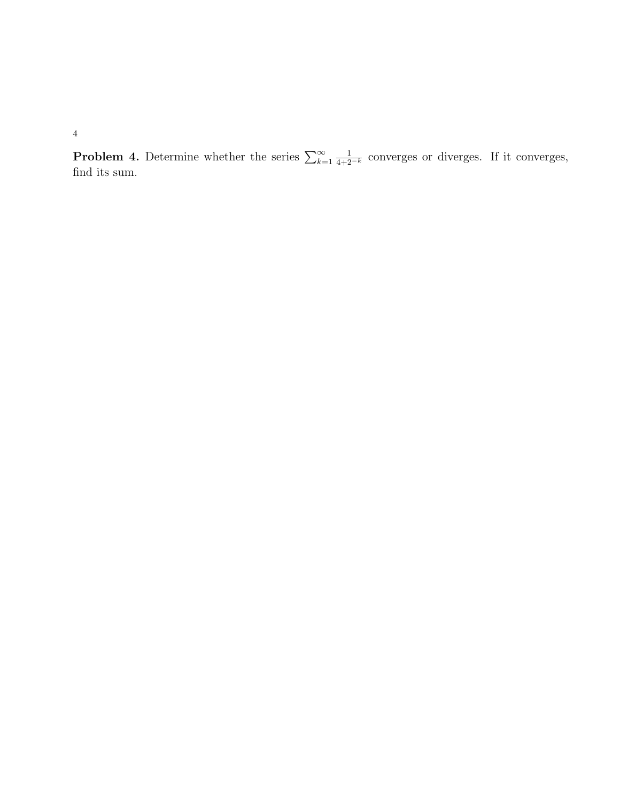**Problem 4.** Determine whether the series  $\sum_{k=1}^{\infty}$  $\frac{1}{4+2^{-k}}$  converges or diverges. If it converges, find its sum.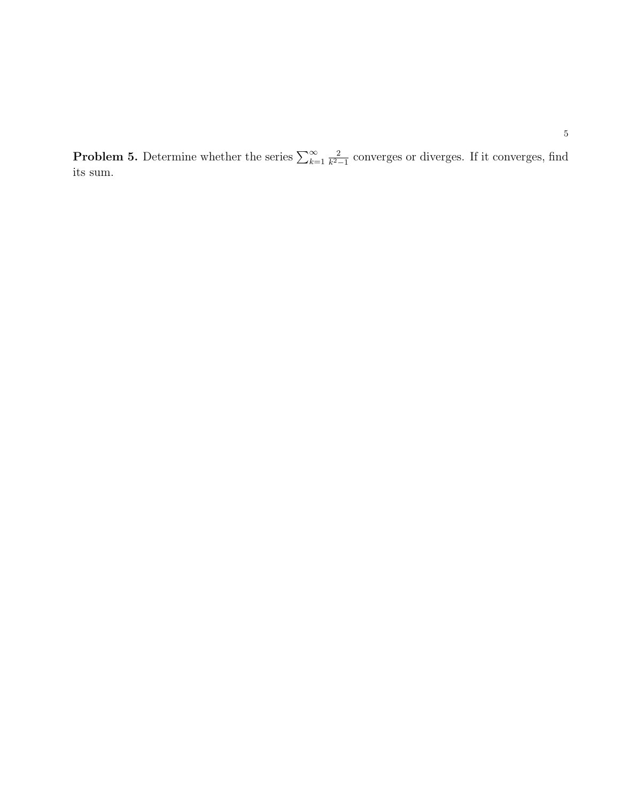**Problem 5.** Determine whether the series  $\sum_{k=1}^{\infty}$ 2  $\frac{2}{k^2-1}$  converges or diverges. If it converges, find its sum.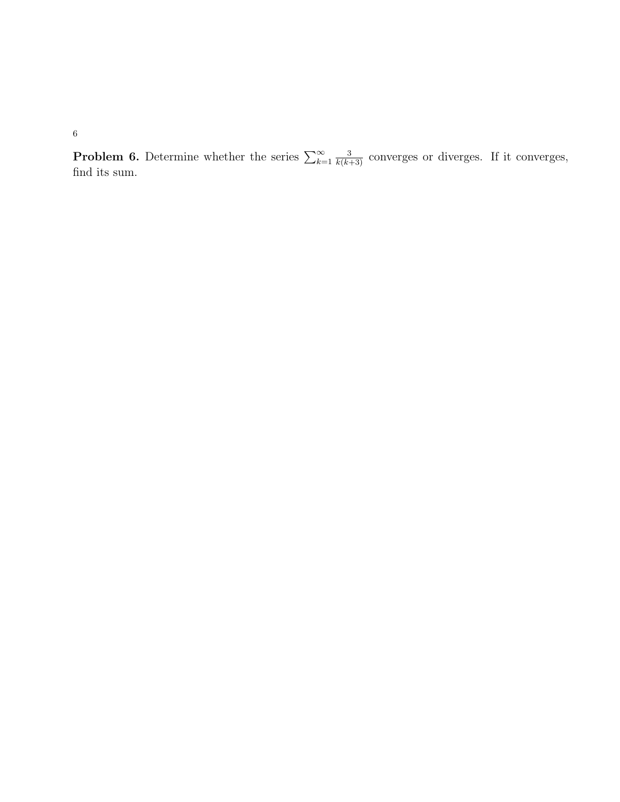**Problem 6.** Determine whether the series  $\sum_{k=1}^{\infty}$  $\frac{3}{k(k+3)}$  converges or diverges. If it converges, find its sum.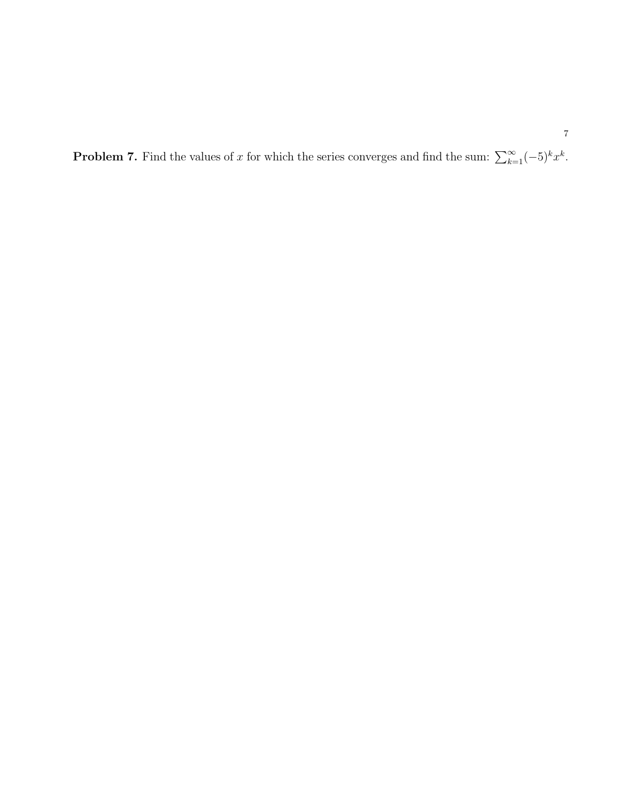**Problem 7.** Find the values of x for which the series converges and find the sum:  $\sum_{k=1}^{\infty}(-5)^k x^k$ .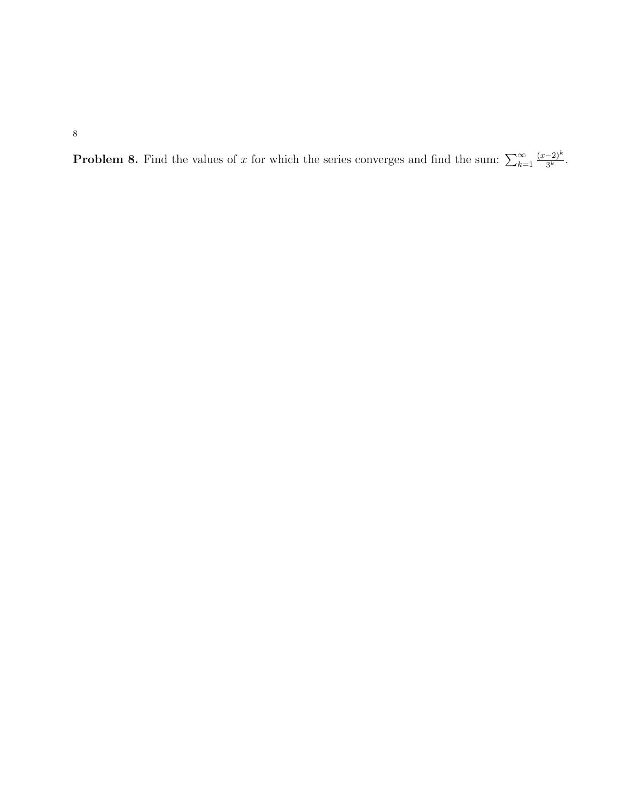**Problem 8.** Find the values of x for which the series converges and find the sum:  $\sum_{k=1}^{\infty}$  $(x-2)^k$  $\frac{(-2)^n}{3^k}$ .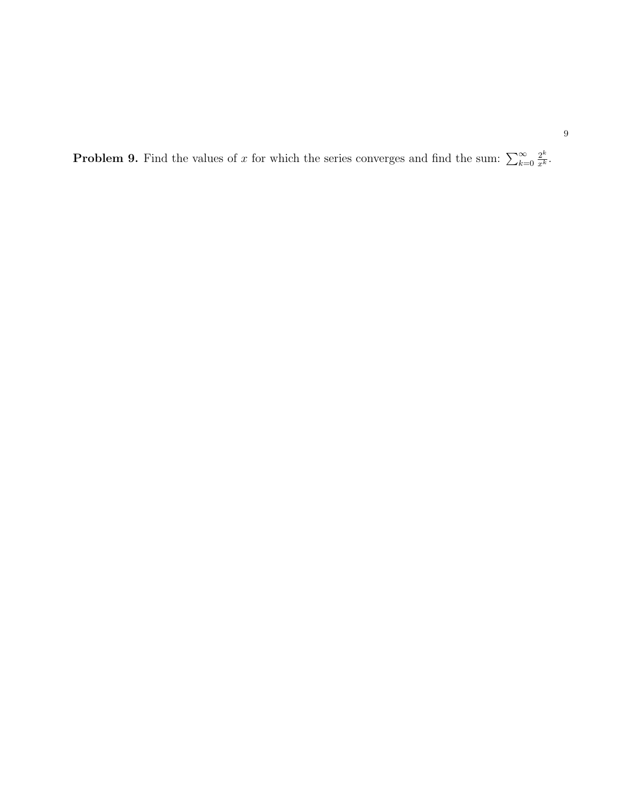**Problem 9.** Find the values of x for which the series converges and find the sum:  $\sum_{k=0}^{\infty}$  $\frac{2^k}{x^k}.$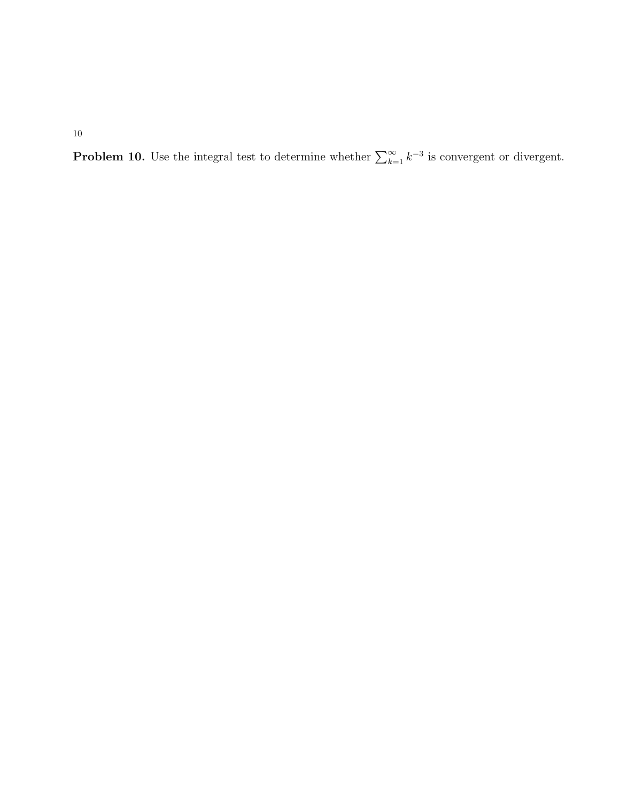**Problem 10.** Use the integral test to determine whether  $\sum_{k=1}^{\infty} k^{-3}$  is convergent or divergent.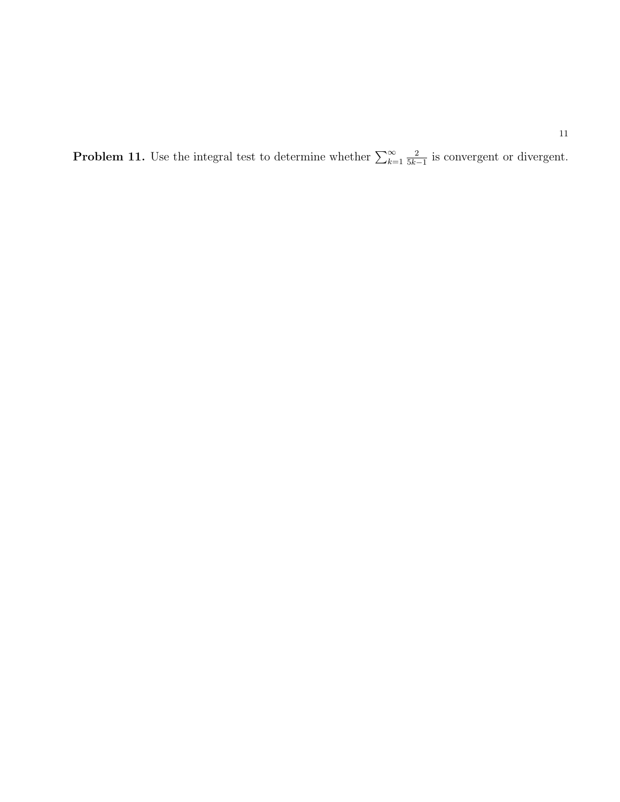**Problem 11.** Use the integral test to determine whether  $\sum_{k=1}^{\infty}$ 2  $\frac{2}{5k-1}$  is convergent or divergent.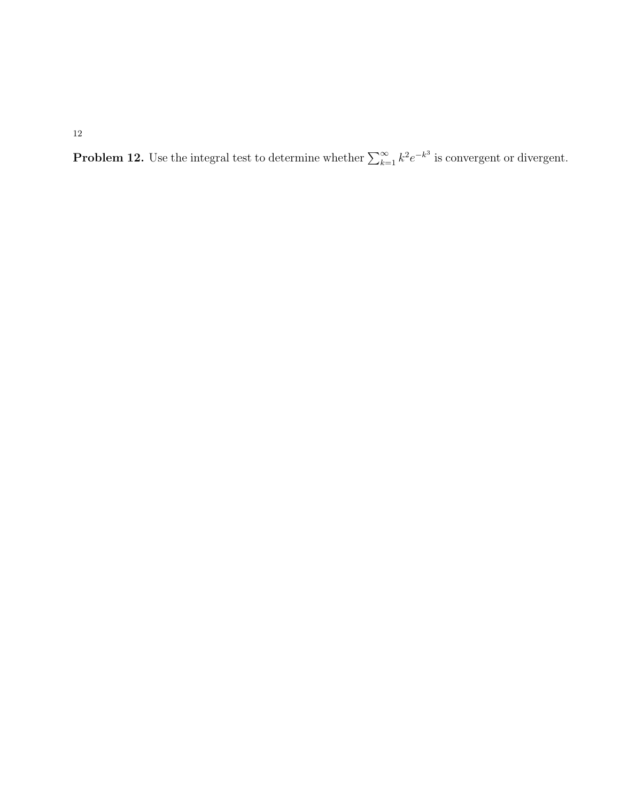**Problem 12.** Use the integral test to determine whether  $\sum_{k=1}^{\infty} k^2 e^{-k^3}$  is convergent or divergent.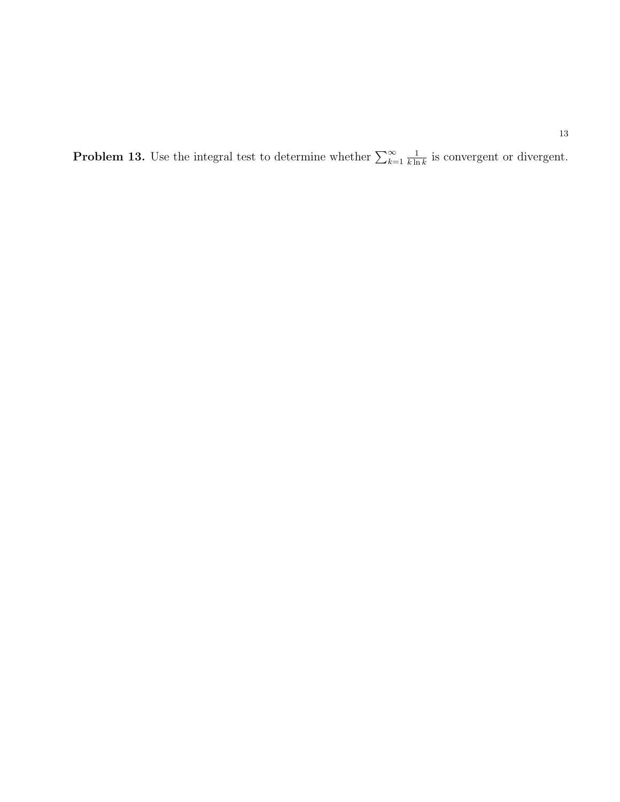**Problem 13.** Use the integral test to determine whether  $\sum_{k=1}^{\infty}$ 1  $\frac{1}{k \ln k}$  is convergent or divergent.